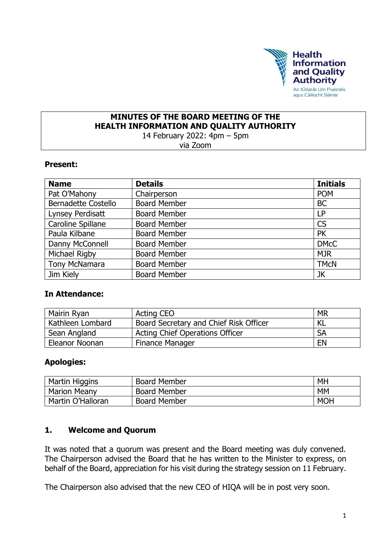

## **MINUTES OF THE BOARD MEETING OF THE HEALTH INFORMATION AND QUALITY AUTHORITY**

14 February 2022: 4pm – 5pm via Zoom

#### **Present:**

| <b>Name</b>                | <b>Details</b>      | <b>Initials</b> |
|----------------------------|---------------------|-----------------|
| Pat O'Mahony               | Chairperson         | <b>POM</b>      |
| <b>Bernadette Costello</b> | <b>Board Member</b> | <b>BC</b>       |
| Lynsey Perdisatt           | <b>Board Member</b> | <b>LP</b>       |
| Caroline Spillane          | <b>Board Member</b> | <b>CS</b>       |
| Paula Kilbane              | <b>Board Member</b> | <b>PK</b>       |
| Danny McConnell            | <b>Board Member</b> | <b>DMcC</b>     |
| Michael Rigby              | <b>Board Member</b> | <b>MJR</b>      |
| <b>Tony McNamara</b>       | <b>Board Member</b> | <b>TMCN</b>     |
| Jim Kiely                  | <b>Board Member</b> | JK              |

#### **In Attendance:**

| Mairin Ryan      | <b>Acting CEO</b>                      | <b>MR</b> |
|------------------|----------------------------------------|-----------|
| Kathleen Lombard | Board Secretary and Chief Risk Officer | KL        |
| Sean Angland     | <b>Acting Chief Operations Officer</b> | <b>SA</b> |
| Eleanor Noonan   | <b>Finance Manager</b>                 | <b>EN</b> |

#### **Apologies:**

| Martin Higgins      | <b>Board Member</b> | MH         |
|---------------------|---------------------|------------|
| <b>Marion Meany</b> | <b>Board Member</b> | <b>MM</b>  |
| Martin O'Halloran   | <b>Board Member</b> | <b>MOH</b> |

#### **1. Welcome and Quorum**

It was noted that a quorum was present and the Board meeting was duly convened. The Chairperson advised the Board that he has written to the Minister to express, on behalf of the Board, appreciation for his visit during the strategy session on 11 February.

The Chairperson also advised that the new CEO of HIQA will be in post very soon.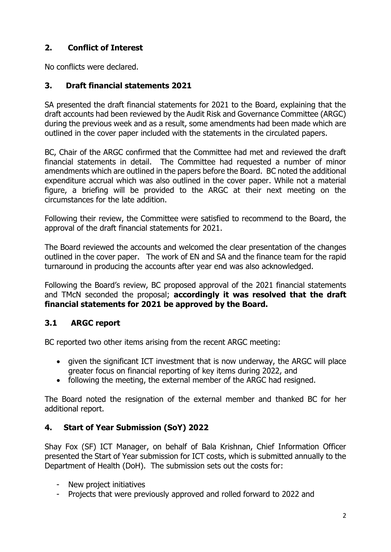# **2. Conflict of Interest**

No conflicts were declared.

## **3. Draft financial statements 2021**

SA presented the draft financial statements for 2021 to the Board, explaining that the draft accounts had been reviewed by the Audit Risk and Governance Committee (ARGC) during the previous week and as a result, some amendments had been made which are outlined in the cover paper included with the statements in the circulated papers.

BC, Chair of the ARGC confirmed that the Committee had met and reviewed the draft financial statements in detail. The Committee had requested a number of minor amendments which are outlined in the papers before the Board. BC noted the additional expenditure accrual which was also outlined in the cover paper. While not a material figure, a briefing will be provided to the ARGC at their next meeting on the circumstances for the late addition.

Following their review, the Committee were satisfied to recommend to the Board, the approval of the draft financial statements for 2021.

The Board reviewed the accounts and welcomed the clear presentation of the changes outlined in the cover paper. The work of EN and SA and the finance team for the rapid turnaround in producing the accounts after year end was also acknowledged.

Following the Board's review, BC proposed approval of the 2021 financial statements and TMcN seconded the proposal; **accordingly it was resolved that the draft financial statements for 2021 be approved by the Board.**

# **3.1 ARGC report**

BC reported two other items arising from the recent ARGC meeting:

- given the significant ICT investment that is now underway, the ARGC will place greater focus on financial reporting of key items during 2022, and
- following the meeting, the external member of the ARGC had resigned.

The Board noted the resignation of the external member and thanked BC for her additional report.

### **4. Start of Year Submission (SoY) 2022**

Shay Fox (SF) ICT Manager, on behalf of Bala Krishnan, Chief Information Officer presented the Start of Year submission for ICT costs, which is submitted annually to the Department of Health (DoH). The submission sets out the costs for:

- New project initiatives
- Projects that were previously approved and rolled forward to 2022 and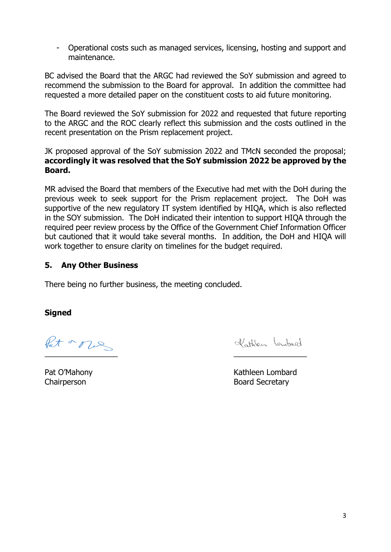- Operational costs such as managed services, licensing, hosting and support and maintenance.

BC advised the Board that the ARGC had reviewed the SoY submission and agreed to recommend the submission to the Board for approval. In addition the committee had requested a more detailed paper on the constituent costs to aid future monitoring.

The Board reviewed the SoY submission for 2022 and requested that future reporting to the ARGC and the ROC clearly reflect this submission and the costs outlined in the recent presentation on the Prism replacement project.

JK proposed approval of the SoY submission 2022 and TMcN seconded the proposal; **accordingly it was resolved that the SoY submission 2022 be approved by the Board.**

MR advised the Board that members of the Executive had met with the DoH during the previous week to seek support for the Prism replacement project. The DoH was supportive of the new regulatory IT system identified by HIQA, which is also reflected in the SOY submission. The DoH indicated their intention to support HIQA through the required peer review process by the Office of the Government Chief Information Officer but cautioned that it would take several months. In addition, the DoH and HIQA will work together to ensure clarity on timelines for the budget required.

### **5. Any Other Business**

There being no further business, the meeting concluded.

#### **Signed**

Pat or our  $\overline{\phantom{a}}$  , and the contract of the contract of the contract of the contract of the contract of the contract of the contract of the contract of the contract of the contract of the contract of the contract of the contrac

Vottien Lewbard

Pat O'Mahony **Kathleen Lombard** Chairperson **Board Secretary**